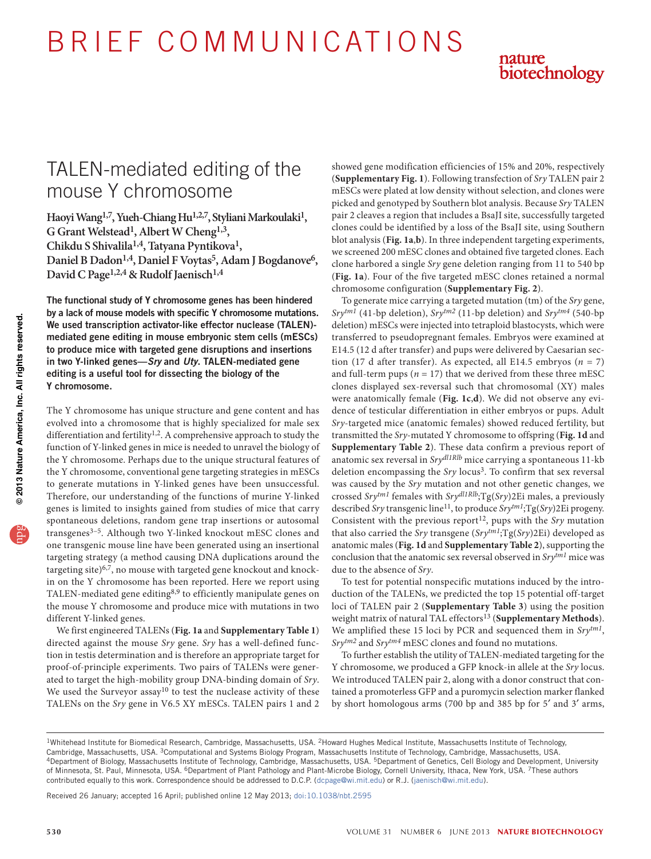B R I E F C O M M U N I C AT I O N S



# TALEN-mediated editing of the mouse Y chromosome

**Haoyi Wang1,7, Yueh-Chiang Hu1,2,7, Styliani Markoulaki1, G Grant Welstead1, Albert W Cheng1,3, Chikdu S Shivalila1,4, Tatyana Pyntikova1,**  Daniel B Dadon<sup>1,4</sup>, Daniel F Voytas<sup>5</sup>, Adam J Bogdanove<sup>6</sup>, David C Page<sup>1,2,4</sup> & Rudolf Jaenisch<sup>1,4</sup>

The functional study of Y chromosome genes has been hindered by a lack of mouse models with specific Y chromosome mutations. We used transcription activator-like effector nuclease (TALEN) mediated gene editing in mouse embryonic stem cells (mESCs) to produce mice with targeted gene disruptions and insertions in two Y-linked genes—*Sry* and *Uty*. TALEN-mediated gene editing is a useful tool for dissecting the biology of the Y chromosome.

The Y chromosome has unique structure and gene content and has evolved into a chromosome that is highly specialized for male sex differentiation and fertility<sup>[1,](#page-2-0)2</sup>. A comprehensive approach to study the function of Y-linked genes in mice is needed to unravel the biology of the Y chromosome. Perhaps due to the unique structural features of the Y chromosome, conventional gene targeting strategies in mESCs to generate mutations in Y-linked genes have been unsuccessful. Therefore, our understanding of the functions of murine Y-linked genes is limited to insights gained from studies of mice that carry spontaneous deletions, random gene trap insertions or autosomal transgenes<sup>3-[5](#page-2-3)</sup>. Although two Y-linked knockout mESC clones and one transgenic mouse line have been generated using an insertional targeting strategy (a method causing DNA duplications around the targeting site) $6,7$  $6,7$ , no mouse with targeted gene knockout and knockin on the Y chromosome has been reported. Here we report using TALEN-mediated gene editing<sup>[8,](#page-2-6)[9](#page-2-7)</sup> to efficiently manipulate genes on the mouse Y chromosome and produce mice with mutations in two different Y-linked genes.

We first engineered TALENs (**[Fig. 1a](#page-1-0)** and **Supplementary Table 1**) directed against the mouse *Sry* gene. *Sry* has a well-defined function in testis determination and is therefore an appropriate target for proof-of-principle experiments. Two pairs of TALENs were generated to target the high-mobility group DNA-binding domain of *Sry*. We used the Surveyor assay<sup>10</sup> to test the nuclease activity of these TALENs on the *Sry* gene in V6.5 XY mESCs. TALEN pairs 1 and 2

showed gene modification efficiencies of 15% and 20%, respectively (**Supplementary Fig. 1**). Following transfection of *Sry* TALEN pair 2 mESCs were plated at low density without selection, and clones were picked and genotyped by Southern blot analysis. Because *Sry* TALEN pair 2 cleaves a region that includes a BsaJI site, successfully targeted clones could be identified by a loss of the BsaJI site, using Southern blot analysis (**[Fig. 1a](#page-1-0)**,**b**). In three independent targeting experiments, we screened 200 mESC clones and obtained five targeted clones. Each clone harbored a single *Sry* gene deletion ranging from 11 to 540 bp (**[Fig. 1a](#page-1-0)**). Four of the five targeted mESC clones retained a normal chromosome configuration (**Supplementary Fig. 2**).

To generate mice carrying a targeted mutation (tm) of the *Sry* gene, *Srytm1* (41-bp deletion), *Srytm2* (11-bp deletion) and *Srytm4* (540-bp deletion) mESCs were injected into tetraploid blastocysts, which were transferred to pseudopregnant females. Embryos were examined at E14.5 (12 d after transfer) and pups were delivered by Caesarian section (17 d after transfer). As expected, all E14.5 embryos ( $n = 7$ ) and full-term pups ( $n = 17$ ) that we derived from these three mESC clones displayed sex-reversal such that chromosomal (XY) males were anatomically female (**[Fig. 1c](#page-1-0)**,**d**). We did not observe any evidence of testicular differentiation in either embryos or pups. Adult *Sry*-targeted mice (anatomic females) showed reduced fertility, but transmitted the *Sry*-mutated Y chromosome to offspring (**[Fig. 1d](#page-1-0)** and **Supplementary Table 2**). These data confirm a previous report of anatomic sex reversal in *Srydl1Rlb* mice carrying a spontaneous 11-kb deletion encompassing the *Sry* locus<sup>3</sup>. To confirm that sex reversal was caused by the *Sry* mutation and not other genetic changes, we crossed *Srytm1* females with *Srydl1Rlb*;Tg(*Sry*)2Ei males, a previously described *Sry* transgenic line[11](#page-2-9), to produce *Srytm1*;Tg(*Sry*)2Ei progeny. Consistent with the previous report<sup>12</sup>, pups with the *Sry* mutation that also carried the *Sry* transgene (*Srytm1*;Tg(*Sry*)2Ei) developed as anatomic males (**[Fig. 1d](#page-1-0)** and **Supplementary Table 2**), supporting the conclusion that the anatomic sex reversal observed in *Srytm1* mice was due to the absence of *Sry*.

To test for potential nonspecific mutations induced by the introduction of the TALENs, we predicted the top 15 potential off-target loci of TALEN pair 2 (**Supplementary Table 3**) using the position weight matrix of natural TAL effectors[13](#page-2-11) (**Supplementary Methods**). We amplified these 15 loci by PCR and sequenced them in *Srytm1*, *Srytm2* and *Srytm4* mESC clones and found no mutations.

To further establish the utility of TALEN-mediated targeting for the Y chromosome, we produced a GFP knock-in allele at the *Sry* locus. We introduced TALEN pair 2, along with a donor construct that contained a promoterless GFP and a puromycin selection marker flanked by short homologous arms (700 bp and 385 bp for 5′ and 3′ arms,

Received 26 January; accepted 16 April; published online 12 May 2013; [doi:10.1038/nbt.2595](http://www.nature.com/doifinder/10.1038/nbt.2595)

<sup>1</sup>Whitehead Institute for Biomedical Research, Cambridge, Massachusetts, USA. 2Howard Hughes Medical Institute, Massachusetts Institute of Technology, Cambridge, Massachusetts, USA. <sup>3</sup>Computational and Systems Biology Program, Massachusetts Institute of Technology, Cambridge, Massachusetts, USA.<br><sup>4</sup>Department of Biology, Massachusetts Institute of Technology, Cambridge, of Minnesota, St. Paul, Minnesota, USA. 6Department of Plant Pathology and Plant-Microbe Biology, Cornell University, Ithaca, New York, USA. 7These authors contributed equally to this work. Correspondence should be addressed to D.C.P. (dcpage@wi.mit.edu) or R.J. (jaenisch@wi.mit.edu).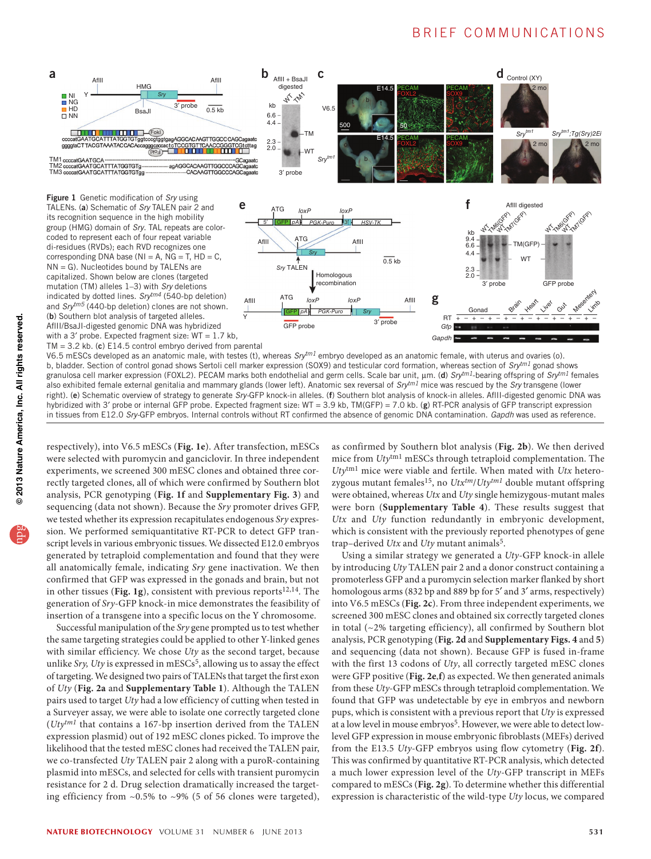### B R I E F COMMUNICATIONS

<span id="page-1-0"></span>

V6.5 mESCs developed as an anatomic male, with testes (t), whereas *Srytm1* embryo developed as an anatomic female, with uterus and ovaries (o). b, bladder. Section of control gonad shows Sertoli cell marker expression (SOX9) and testicular cord formation, whereas section of *Srytm1* gonad shows granulosa cell marker expression (FOXL2). PECAM marks both endothelial and germ cells. Scale bar unit, µm. (d) *Srytm1*-bearing offspring of *Srytm1* females also exhibited female external genitalia and mammary glands (lower left). Anatomic sex reversal of *Srytm1* mice was rescued by the *Sry* transgene (lower right). (e) Schematic overview of strategy to generate *Sry-*GFP knock-in alleles. (f) Southern blot analysis of knock-in alleles. AflII-digested genomic DNA was hybridized with 3' probe or internal GFP probe. Expected fragment size: WT = 3.9 kb, TM(GFP) = 7.0 kb. (g) RT-PCR analysis of GFP transcript expression in tissues from E12.0 *Sry-*GFP embryos. Internal controls without RT confirmed the absence of genomic DNA contamination. *Gapdh* was used as reference.

respectively), into V6.5 mESCs (**[Fig. 1e](#page-1-0)**). After transfection, mESCs were selected with puromycin and ganciclovir. In three independent experiments, we screened 300 mESC clones and obtained three correctly targeted clones, all of which were confirmed by Southern blot analysis, PCR genotyping (**[Fig. 1f](#page-1-0)** and **Supplementary Fig. 3**) and sequencing (data not shown). Because the *Sry* promoter drives GFP, we tested whether its expression recapitulates endogenous *Sry* expression. We performed semiquantitative RT-PCR to detect GFP transcript levels in various embryonic tissues. We dissected E12.0 embryos generated by tetraploid complementation and found that they were all anatomically female, indicating *Sry* gene inactivation. We then confirmed that GFP was expressed in the gonads and brain, but not in other tissues ([Fig. 1g](#page-1-0)), consistent with previous reports<sup>[12,](#page-2-10)[14](#page-2-12)</sup>. The generation of *Sry*-GFP knock-in mice demonstrates the feasibility of insertion of a transgene into a specific locus on the Y chromosome.

Successful manipulation of the *Sry* gene prompted us to test whether the same targeting strategies could be applied to other Y-linked genes with similar efficiency. We chose *Uty* as the second target, because unlike  $Sry$ , Uty is expressed in mESCs<sup>[5](#page-2-3)</sup>, allowing us to assay the effect of targeting. We designed two pairs of TALENs that target the first exon of *Uty* (**[Fig. 2a](#page-2-13)** and **Supplementary Table 1**). Although the TALEN pairs used to target *Uty* had a low efficiency of cutting when tested in a Surveyer assay, we were able to isolate one correctly targeted clone (*Utytm1* that contains a 167-bp insertion derived from the TALEN expression plasmid) out of 192 mESC clones picked. To improve the likelihood that the tested mESC clones had received the TALEN pair, we co-transfected *Uty* TALEN pair 2 along with a puroR-containing plasmid into mESCs, and selected for cells with transient puromycin resistance for 2 d. Drug selection dramatically increased the targeting efficiency from ~0.5% to ~9% (5 of 56 clones were targeted),

as confirmed by Southern blot analysis (**[Fig. 2b](#page-2-13)**). We then derived mice from *Uty*tm1 mESCs through tetraploid complementation. The *Uty*tm1 mice were viable and fertile. When mated with *Utx* hetero-zygous mutant females<sup>[15](#page-2-14)</sup>, no  $Utx^{tm}/Uty^{tm1}$  double mutant offspring were obtained, whereas *Utx* and *Uty* single hemizygous-mutant males were born (**Supplementary Table 4**). These results suggest that *Utx* and *Uty* function redundantly in embryonic development, which is consistent with the previously reported phenotypes of gene trap–derived *Utx* and *Uty* mutant animals[5](#page-2-3).

Using a similar strategy we generated a *Uty*-GFP knock-in allele by introducing *Uty* TALEN pair 2 and a donor construct containing a promoterless GFP and a puromycin selection marker flanked by short homologous arms (832 bp and 889 bp for 5' and 3' arms, respectively) into V6.5 mESCs (**[Fig. 2c](#page-2-13)**). From three independent experiments, we screened 300 mESC clones and obtained six correctly targeted clones in total (~2% targeting efficiency), all confirmed by Southern blot analysis, PCR genotyping (**[Fig. 2d](#page-2-13)** and **Supplementary Figs. 4** and **5**) and sequencing (data not shown). Because GFP is fused in-frame with the first 13 codons of *Uty*, all correctly targeted mESC clones were GFP positive (**[Fig. 2e](#page-2-13)**,**f**) as expected. We then generated animals from these *Uty*-GFP mESCs through tetraploid complementation. We found that GFP was undetectable by eye in embryos and newborn pups, which is consistent with a previous report that *Uty* is expressed at a low level in mouse embryos<sup>5</sup>. However, we were able to detect lowlevel GFP expression in mouse embryonic fibroblasts (MEFs) derived from the E13.5 *Uty*-GFP embryos using flow cytometry (**[Fig. 2f](#page-2-13)**). This was confirmed by quantitative RT-PCR analysis, which detected a much lower expression level of the *Uty*-GFP transcript in MEFs compared to mESCs (**[Fig. 2g](#page-2-13)**). To determine whether this differential expression is characteristic of the wild-type *Uty* locus, we compared